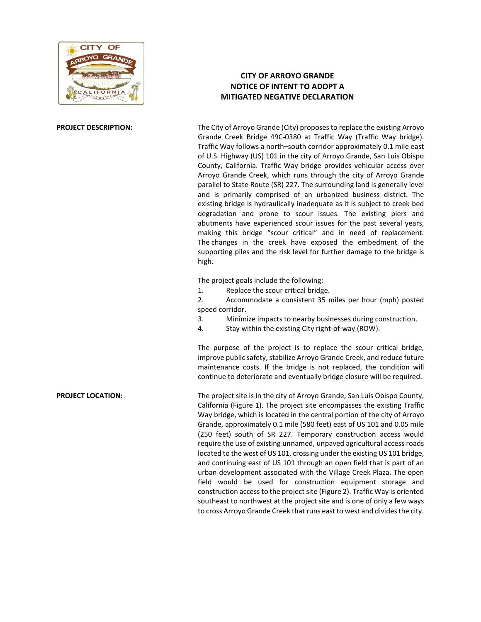

## **CITY OF ARROYO GRANDE NOTICE OF INTENT TO ADOPT A MITIGATED NEGATIVE DECLARATION**

**PROJECT DESCRIPTION:** The City of Arroyo Grande (City) proposes to replace the existing Arroyo Grande Creek Bridge 49C-0380 at Traffic Way (Traffic Way bridge). Traffic Way follows a north–south corridor approximately 0.1 mile east of U.S. Highway (US) 101 in the city of Arroyo Grande, San Luis Obispo County, California. Traffic Way bridge provides vehicular access over Arroyo Grande Creek, which runs through the city of Arroyo Grande parallel to State Route (SR) 227. The surrounding land is generally level and is primarily comprised of an urbanized business district. The existing bridge is hydraulically inadequate as it is subject to creek bed degradation and prone to scour issues. The existing piers and abutments have experienced scour issues for the past several years, making this bridge "scour critical" and in need of replacement. The changes in the creek have exposed the embedment of the supporting piles and the risk level for further damage to the bridge is high.

The project goals include the following:

1. Replace the scour critical bridge.

2. Accommodate a consistent 35 miles per hour (mph) posted speed corridor.

- 3. Minimize impacts to nearby businesses during construction.
- 4. Stay within the existing City right-of-way (ROW).

The purpose of the project is to replace the scour critical bridge, improve public safety, stabilize Arroyo Grande Creek, and reduce future maintenance costs. If the bridge is not replaced, the condition will continue to deteriorate and eventually bridge closure will be required.

**PROJECT LOCATION:** The project site is in the city of Arroyo Grande, San Luis Obispo County, California (Figure 1). The project site encompasses the existing Traffic Way bridge, which is located in the central portion of the city of Arroyo Grande, approximately 0.1 mile (580 feet) east of US 101 and 0.05 mile (250 feet) south of SR 227. Temporary construction access would require the use of existing unnamed, unpaved agricultural access roads located to the west of US 101, crossing under the existing US 101 bridge, and continuing east of US 101 through an open field that is part of an urban development associated with the Village Creek Plaza. The open field would be used for construction equipment storage and construction access to the project site (Figure 2). Traffic Way is oriented southeast to northwest at the project site and is one of only a few ways to cross Arroyo Grande Creek that runs east to west and divides the city.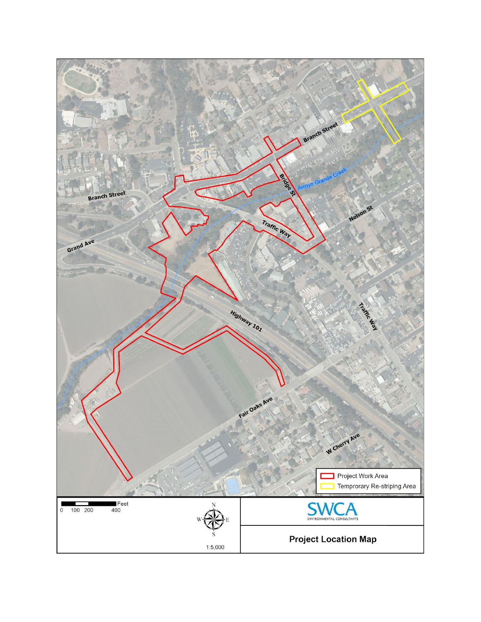